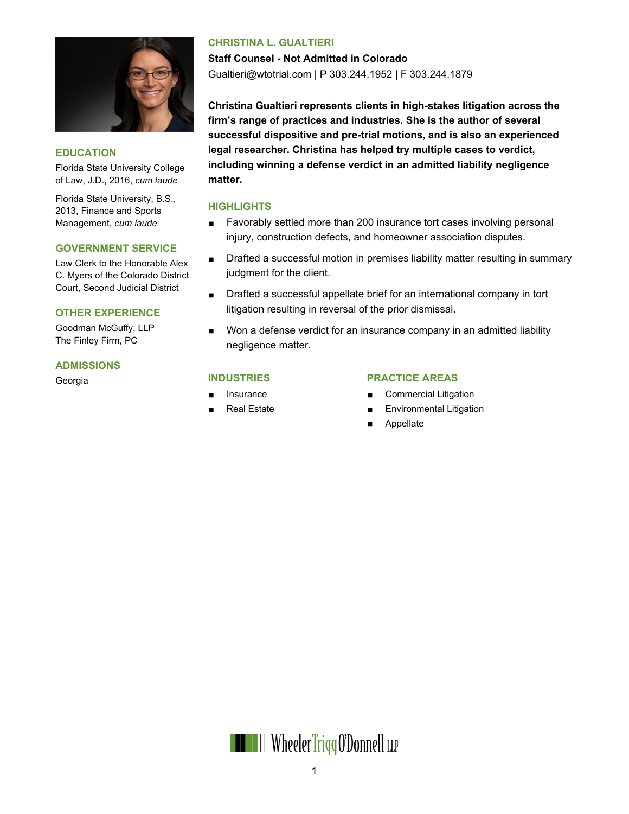

### **EDUCATION**

Florida State University College of Law, J.D., 2016, *cum laude*

Florida State University, B.S., 2013, Finance and Sports Management, *cum laude*

### **GOVERNMENT SERVICE**

Law Clerk to the Honorable Alex C. Myers of the Colorado District Court, Second Judicial District

### **OTHER EXPERIENCE**

Goodman McGuffy, LLP The Finley Firm, PC

### **ADMISSIONS**

# **CHRISTINA L. GUALTIERI**

**Staff Counsel - Not Admitted in Colorado** Gualtieri@wtotrial.com | P 303.244.1952 | F 303.244.1879

**Christina Gualtieri represents clients in high-stakes litigation across the firm's range of practices and industries. She is the author of several successful dispositive and pre-trial motions, and is also an experienced legal researcher. Christina has helped try multiple cases to verdict, including winning a defense verdict in an admitted liability negligence matter.**

## **HIGHLIGHTS**

- **EXECT** Favorably settled more than 200 insurance tort cases involving personal injury, construction defects, and homeowner association disputes.
- **Drafted a successful motion in premises liability matter resulting in summary** judgment for the client.
- Drafted a successful appellate brief for an international company in tort litigation resulting in reversal of the prior dismissal.
- Won a defense verdict for an insurance company in an admitted liability negligence matter.

# Georgia **INDUSTRIES**

- Insurance
- Real Estate

### **PRACTICE AREAS**

- Commercial Litigation
- Environmental Litigation
- Appellate